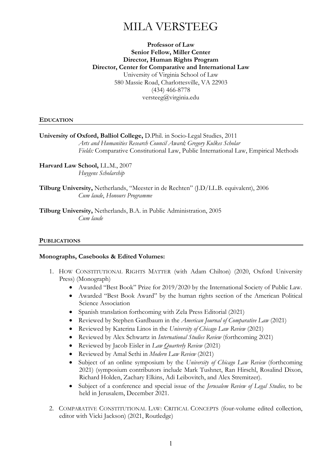# MILA VERSTEEG

# **Professor of Law Senior Fellow, Miller Center Director, Human Rights Program Director, Center for Comparative and International Law** University of Virginia School of Law 580 Massie Road, Charlottesville, VA 22903 (434) 466-8778 [versteeg@virginia.edu](mailto:versteeg@virginia.edu)

## **EDUCATION**

**University of Oxford, Balliol College,** D.Phil. in Socio-Legal Studies, 2011 *Arts and Humanities Research Council Award; Gregory Kulkes Scholar Fields:* Comparative Constitutional Law, Public International Law, Empirical Methods

**Harvard Law School,** LL.M., 2007 *Huygens Scholarship*

**Tilburg University,** Netherlands, "Meester in de Rechten" (J.D/LL.B. equivalent), 2006 *Cum laude*, *Honours Programme*

**Tilburg University,** Netherlands, B.A. in Public Administration, 2005 *Cum laude*

# **PUBLICATIONS**

#### **Monographs, Casebooks & Edited Volumes:**

- 1. HOW CONSTITUTIONAL RIGHTS MATTER (with Adam Chilton) (2020, Oxford University Press) (Monograph)
	- Awarded "Best Book" Prize for 2019/2020 by the International Society of Public Law.
	- Awarded "Best Book Award" by the human rights section of the American Political Science Association
	- Spanish translation forthcoming with Zela Press Editorial (2021)
	- Reviewed by Stephen Gardbaum in the *American Journal of Comparative Law* (2021)
	- Reviewed by Katerina Linos in the *University of Chicago Law Review* (2021)
	- Reviewed by Alex Schwartz in *International Studies Review* (forthcoming 2021)
	- Reviewed by Jacob Eisler in *Law Quarterly Review* (2021)
	- Reviewed by Amal Sethi in *Modern Law Review* (2021)
	- Subject of an online symposium by the *University of Chicago Law Review* (forthcoming 2021) (symposium contributors include Mark Tushnet, Ran Hirschl, Rosalind Dixon, Richard Holden, Zachary Elkins, Adi Leibovitch, and Alex Stremitzer).
	- Subject of a conference and special issue of the *Jerusalem Review of Legal Studies,* to be held in Jerusalem, December 2021.
- 2. COMPARATIVE CONSTITUTIONAL LAW: CRITICAL CONCEPTS (four-volume edited collection, editor with Vicki Jackson) (2021, Routledge)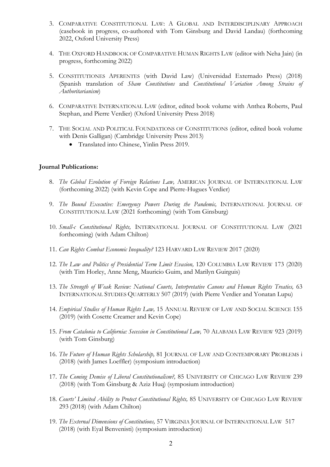- 3. COMPARATIVE CONSTITUTIONAL LAW: A GLOBAL AND INTERDISCIPLINARY APPROACH (casebook in progress, co-authored with Tom Ginsburg and David Landau) (forthcoming 2022, Oxford University Press)
- 4. THE OXFORD HANDBOOK OF COMPARATIVE HUMAN RIGHTS LAW (editor with Neha Jain) (in progress, forthcoming 2022)
- 5. CONSTITUTIONES APERENTES (with David Law) (Universidad Externado Press) (2018) (Spanish translation of *Sham Constitutions* and *Constitutional Variation Among Strains of Authoritarianism*)
- 6. COMPARATIVE INTERNATIONAL LAW (editor, edited book volume with Anthea Roberts, Paul Stephan, and Pierre Verdier) (Oxford University Press 2018)
- 7. THE SOCIAL AND POLITICAL FOUNDATIONS OF CONSTITUTIONS (editor, edited book volume with Denis Galligan) (Cambridge University Press 2013)
	- Translated into Chinese, Yinlin Press 2019.

## **Journal Publications:**

- 8. *The Global Evolution of Foreign Relations Law,* AMERICAN JOURNAL OF INTERNATIONAL LAW (forthcoming 2022) (with Kevin Cope and Pierre-Hugues Verdier)
- 9. *The Bound Executive: Emergency Powers During the Pandemic,* INTERNATIONAL JOURNAL OF CONSTITUTIONAL LAW (2021 forthcoming) (with Tom Ginsburg)
- 10. *Small-c Constitutional Rights,* INTERNATIONAL JOURNAL OF CONSTITUTIONAL LAW (2021 forthcoming) (with Adam Chilton)
- 11. *Can Rights Combat Economic Inequality?* 123 HARVARD LAW REVIEW 2017 (2020)
- 12. *The Law and Politics of Presidential Term Limit Evasion,* 120 COLUMBIA LAW REVIEW 173 (2020) (with Tim Horley, Anne Meng, Mauricio Guim, and Marilyn Guirguis)
- 13. *The Strength of Weak Review: National Courts, Interpretative Canons and Human Rights Treaties,* 63 INTERNATIONAL STUDIES QUARTERLY 507 (2019) (with Pierre Verdier and Yonatan Lupu)
- 14. *Empirical Studies of Human Rights Law,* 15 ANNUAL REVIEW OF LAW AND SOCIAL SCIENCE 155 (2019) (with Cosette Creamer and Kevin Cope)
- 15. *From Catalonia to California: Secession in Constitutional Law,* 70 ALABAMA LAW REVIEW 923 (2019) (with Tom Ginsburg)
- 16. *The Future of Human Rights Scholarship,* 81 JOURNAL OF LAW AND CONTEMPORARY PROBLEMS i (2018) (with James Loeffler) (symposium introduction)
- 17. *The Coming Demise of Liberal Constitutionalism?,* 85 UNIVERSITY OF CHICAGO LAW REVIEW 239 (2018) (with Tom Ginsburg & Aziz Huq) (symposium introduction)
- 18. *Courts' Limited Ability to Protect Constitutional Rights,* 85 UNIVERSITY OF CHICAGO LAW REVIEW 293 (2018) (with Adam Chilton)
- 19. *The External Dimensions of Constitutions,* 57 VIRGINIA JOURNAL OF INTERNATIONAL LAW 517 (2018) (with Eyal Benvenisti) (symposium introduction)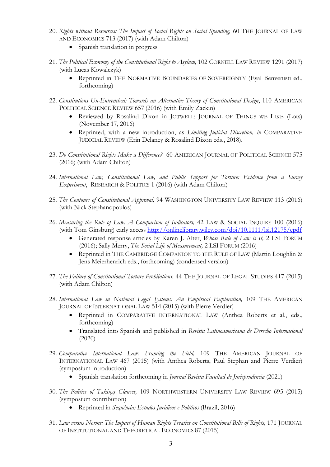- 20. *Rights without Resources: The Impact of Social Rights on Social Spending,* 60 THE JOURNAL OF LAW AND ECONOMICS 713 (2017) (with Adam Chilton)
	- Spanish translation in progress
- 21. *The Political Economy of the Constitutional Right to Asylum,* 102 CORNELL LAW REVIEW 1291 (2017) (with Lucas Kowalczyk)
	- Reprinted in THE NORMATIVE BOUNDARIES OF SOVEREIGNTY (Eyal Benvenisti ed., forthcoming)
- 22. *Constitutions Un-Entrenched: Towards an Alternative Theory of Constitutional Design*, 110 AMERICAN POLITICAL SCIENCE REVIEW 657 (2016) (with Emily Zackin)
	- Reviewed by Rosalind Dixon in JOTWELL: JOURNAL OF THINGS WE LIKE (Lots) (November 17, 2016)
	- Reprinted, with a new introduction, as *Limiting Judicial Discretion, in* COMPARATIVE JUDICIAL REVIEW (Erin Delaney & Rosalind Dixon eds., 2018).
- 23. *Do Constitutional Rights Make a Difference?* 60 AMERICAN JOURNAL OF POLITICAL SCIENCE 575 (2016) (with Adam Chilton)
- 24. *International Law, Constitutional Law, and Public Support for Torture: Evidence from a Survey Experiment*, RESEARCH & POLITICS 1 (2016) (with Adam Chilton)
- 25. *The Contours of Constitutional Approval,* 94 WASHINGTON UNIVERSITY LAW REVIEW 113 (2016) (with Nick Stephanopoulos)
- 26. *Measuring the Rule of Law: A Comparison of Indicators,* 42 LAW & SOCIAL INQUIRY 100 (2016) (with Tom Ginsburg) early access<http://onlinelibrary.wiley.com/doi/10.1111/lsi.12175/epdf>
	- Generated response articles by Karen J. Alter, *Whose Rule of Law is It,* 2 LSI FORUM (2016); Sally Merry, *The Social Life of Measurement,* 2 LSI FORUM (2016)
	- Reprinted in THE CAMBRIDGE COMPANION TO THE RULE OF LAW (Martin Loughlin & Jens Meierhenrich eds., forthcoming) (condensed version)
- 27. *The Failure of Constitutional Torture Prohibitions,* 44 THE JOURNAL OF LEGAL STUDIES 417 (2015) (with Adam Chilton)
- 28. International Law in National Legal Systems: An Empirical Exploration, 109 THE AMERICAN JOURNAL OF INTERNATIONAL LAW 514 (2015) (with Pierre Verdier)
	- Reprinted in COMPARATIVE INTERNATIONAL LAW (Anthea Roberts et al., eds., forthcoming)
	- Translated into Spanish and published in *Revista Latinoamericana de Derecho Internacional* (2020)
- 29. *Comparative International Law: Framing the Field,* 109 THE AMERICAN JOURNAL OF INTERNATIONAL LAW 467 (2015) (with Anthea Roberts, Paul Stephan and Pierre Verdier) (symposium introduction)
	- Spanish translation forthcoming in *Journal Revista Facultad de Jurisprudencia* (2021)
- 30. *The Politics of Takings Clauses,* 109 NORTHWESTERN UNIVERSITY LAW REVIEW 695 (2015) (symposium contribution)
	- Reprinted in *Seqüência: Estudos Jurídicos e Políticos* (Brazil, 2016)
- 31. *Law versus Norms: The Impact of Human Rights Treaties on Constitutional Bills of Rights,* 171 JOURNAL OF INSTITUTIONAL AND THEORETICAL ECONOMICS 87 (2015)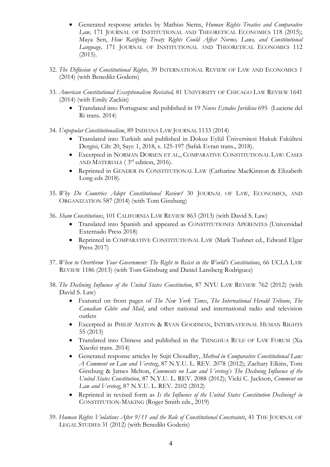- Generated response articles by Mathias Siems, *Human Rights Treaties and Comparative*  Law, 171 JOURNAL OF INSTITUTIONAL AND THEORETICAL ECONOMICS 118 (2015); Maya Sen, *How Ratifying Treaty Rights Could Affect Norms, Laws, and Constitutional Language,* 171 JOURNAL OF INSTITUTIONAL AND THEORETICAL ECONOMICS 112 (2015).
- 32. *The Diffusion of Constitutional Rights,* 39 INTERNATIONAL REVIEW OF LAW AND ECONOMICS 1 (2014) (with Benedikt Goderis)
- 33. *American Constitutional Exceptionalism Revisited,* 81 UNIVERSITY OF CHICAGO LAW REVIEW 1641 (2014) (with Emily Zackin)
	- Translated into Portuguese and published in 19 *Novos Estudos Jurídicos* 695 (Luciene del Ri trans. 2014)
- 34. *Unpopular Constitutionalism*, 89 INDIANA LAW JOURNAL 1133 (2014)
	- Translated into Turkish and published in Dokuz Eylül Üniversitesi Hukuk Fakültesi Dergisi, Cilt: 20, Sayı: 1, 2018, s. 125-197 (Safak Evran trans., 2018).
	- Excerpted in NORMAN DORSEN ET AL., COMPARATIVE CONSTITUTIONAL LAW: CASES AND MATERIALS ( $3<sup>rd</sup>$  edition, 2016).
	- Reprinted in GENDER IN CONSTITUTIONAL LAW (Catharine MacKinnon & Elizabeth Long eds 2018).
- 35. *Why Do Countries Adopt Constitutional Review?* 30 JOURNAL OF LAW, ECONOMICS, AND ORGANIZATION 587 (2014) (with Tom Ginsburg)
- 36. *Sham Constitutions*, 101 CALIFORNIA LAW REVIEW 863 (2013) (with David S. Law)
	- Translated into Spanish and appeared as CONSTITUTIONES APERENTES (Universidad Externado Press 2018)
	- Reprinted in COMPARATIVE CONSTITUTIONAL LAW (Mark Tushnet ed., Edward Elgar Press 2017)
- 37. *When to Overthrow Your Government: The Right to Resist in the World's Constitutions*, 66 UCLA LAW REVIEW 1186 (2013) (with Tom Ginsburg and Daniel Lansberg Rodriguez)
- 38. *The Declining Influence of the United States Constitution*, 87 NYU LAW REVIEW 762 (2012) (with David S. Law)
	- Featured on front pages of *The New York Times*, *The International Herald Tribune*, *The Canadian Globe and Mail*, and other national and international radio and television outlets
	- Excerpted in PHILIP ALSTON & RYAN GOODMAN, INTERNATIONAL HUMAN RIGHTS 55 (2013)
	- Translated into Chinese and published in the TSINGHUA RULE OF LAW FORUM (Xu Xiaofei trans. 2014)
	- Generated response articles by Sujit Choudhry, *Method in Comparative Constitutional Law: A Comment on Law and Versteeg*, 87 N.Y.U. L. REV. 2078 (2012); Zachary Elkins, Tom Ginsburg & James Melton, *Comments on Law and Versteeg's The Declining Influence of the United States Constitution*, 87 N.Y.U. L. REV. 2088 (2012); Vicki C. Jackson, *Comment on Law and Versteeg*, 87 N.Y.U. L. REV. 2102 (2012)
	- Reprinted in revised form as *Is the Influence of the United States Constitution Declining? in*  CONSTITUTION-MAKING (Roger Smith eds., 2019)
- 39. *Human Rights Violations After 9/11 and the Role of Constitutional Constraints*, 41 THE JOURNAL OF LEGAL STUDIES 31 (2012) (with Benedikt Goderis)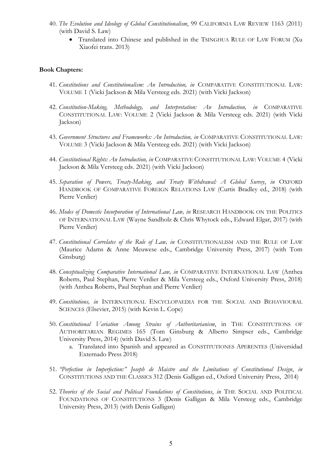- 40. *The Evolution and Ideology of Global Constitutionalism*, 99 CALIFORNIA LAW REVIEW 1163 (2011) (with David S. Law)
	- Translated into Chinese and published in the TSINGHUA RULE OF LAW FORUM (Xu Xiaofei trans. 2013)

## **Book Chapters:**

- 41. *Constitutions and Constitutionalism: An Introduction, in* COMPARATIVE CONSTITUTIONAL LAW: VOLUME 1 (Vicki Jackson & Mila Versteeg eds. 2021) (with Vicki Jackson)
- 42. *Constitution-Making, Methodology, and Interpretation: An Introduction, in* COMPARATIVE CONSTITUTIONAL LAW: VOLUME 2 (Vicki Jackson & Mila Versteeg eds. 2021) (with Vicki Jackson)
- 43. *Government Structures and Frameworks: An Introduction, in* COMPARATIVE CONSTITUTIONAL LAW: VOLUME 3 (Vicki Jackson & Mila Versteeg eds. 2021) (with Vicki Jackson)
- 44. *Constitutional Rights: An Introduction, in* COMPARATIVE CONSTITUTIONAL LAW: VOLUME 4 (Vicki Jackson & Mila Versteeg eds. 2021) (with Vicki Jackson)
- 45. *Separation of Powers, Treaty-Making, and Treaty Withdrawal: A Global Survey*, *in* OXFORD HANDBOOK OF COMPARATIVE FOREIGN RELATIONS LAW (Curtis Bradley ed., 2018) (with Pierre Verdier)
- 46. *Modes of Domestic Incorporation of International Law, in* RESEARCH HANDBOOK ON THE POLITICS OF INTERNATIONAL LAW (Wayne Sandholz & Chris Whytock eds., Edward Elgar, 2017) (with Pierre Verdier)
- 47. *Constitutional Correlates of the Rule of Law, in* CONSTITUTIONALISM AND THE RULE OF LAW (Maurice Adams & Anne Meuwese eds., Cambridge University Press, 2017) (with Tom Ginsburg)
- 48. *Conceptualizing Comparative International Law, in* COMPARATIVE INTERNATIONAL LAW (Anthea Roberts, Paul Stephan, Pierre Verdier & Mila Versteeg eds., Oxford University Press, 2018) (with Anthea Roberts, Paul Stephan and Pierre Verdier)
- 49. *Constitutions, in* INTERNATIONAL ENCYCLOPAEDIA FOR THE SOCIAL AND BEHAVIOURAL SCIENCES (Elsevier, 2015) (with Kevin L. Cope)
- 50. *Constitutional Variation Among Strains of Authoritarianism*, in THE CONSTITUTIONS OF AUTHORITARIAN REGIMES 165 (Tom Ginsburg & Alberto Simpser eds., Cambridge University Press, 2014) (with David S. Law)
	- a. Translated into Spanish and appeared as CONSTITUTIONES APERENTES (Universidad Externado Press 2018)
- 51. *"Perfection in Imperfection:" Joseph de Maistre and the Limitations of Constitutional Design*, *in* CONSTITUTIONS AND THE CLASSICS 312 (Denis Galligan ed., Oxford University Press, 2014)
- 52. *Theories of the Social and Political Foundations of Constitutions*, *in* THE SOCIAL AND POLITICAL FOUNDATIONS OF CONSTITUTIONS 3 (Denis Galligan & Mila Versteeg eds., Cambridge University Press, 2013) (with Denis Galligan)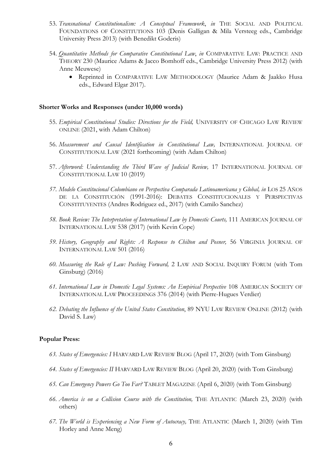- 53. *Transnational Constitutionalism: A Conceptual Framework*, *in* THE SOCIAL AND POLITICAL FOUNDATIONS OF CONSTITUTIONS 103 (Denis Galligan & Mila Versteeg eds., Cambridge University Press 2013) (with Benedikt Goderis)
- 54. *Quantitative Methods for Comparative Constitutional Law*, *in* COMPARATIVE LAW: PRACTICE AND THEORY 230 (Maurice Adams & Jacco Bomhoff eds., Cambridge University Press 2012) (with Anne Meuwese)
	- Reprinted in COMPARATIVE LAW METHODOLOGY (Maurice Adam & Jaakko Husa eds., Edward Elgar 2017).

#### **Shorter Works and Responses (under 10,000 words)**

- 55. *Empirical Constitutional Studies: Directions for the Field,* UNIVERSITY OF CHICAGO LAW REVIEW ONLINE (2021, with Adam Chilton)
- 56. *Measurement and Causal Identification in Constitutional Law,* INTERNATIONAL JOURNAL OF CONSTITUTIONAL LAW (2021 forthcoming) (with Adam Chilton)
- 57. Afterword: Understanding the Third Wave of Judicial Review, 17 INTERNATIONAL JOURNAL OF CONSTITUTIONAL LAW 10 (2019)
- *57. Modelo Constitucional Colombiano en Perspectiva Comparada Latinoamericana y Global, in* LOS 25 AÑOS DE LA CONSTITUCIÓN (1991-2016): DEBATES CONSTITUCIONALES Y PERSPECTIVAS CONSTITUYENTES (Andres Rodriguez ed., 2017) (with Camilo Sanchez)
- *58. Book Review: The Interpretation of International Law by Domestic Courts,* 111 AMERICAN JOURNAL OF INTERNATIONAL LAW 538 (2017) (with Kevin Cope)
- *59. History, Geography and Rights: A Response to Chilton and Posner,* 56 VIRGINIA JOURNAL OF INTERNATIONAL LAW 501 (2016)
- *60. Measuring the Rule of Law: Pushing Forward,* 2 LAW AND SOCIAL INQUIRY FORUM (with Tom Ginsburg) (2016)
- *61. International Law in Domestic Legal Systems: An Empirical Perspective* 108 AMERICAN SOCIETY OF INTERNATIONAL LAW PROCEEDINGS 376 (2014) (with Pierre-Hugues Verdier)
- *62. Debating the Influence of the United States Constitution*, 89 NYU LAW REVIEW ONLINE (2012) (with David S. Law)

#### **Popular Press:**

- *63. States of Emergencies: I* HARVARD LAW REVIEW BLOG (April 17, 2020) (with Tom Ginsburg)
- *64. States of Emergencies: II* HARVARD LAW REVIEW BLOG (April 20, 2020) (with Tom Ginsburg)
- *65. Can Emergency Powers Go Too Far?* TABLET MAGAZINE (April 6, 2020) (with Tom Ginsburg)
- *66. America is on a Collision Course with the Constitution,* THE ATLANTIC (March 23, 2020) (with others)
- *67. The World is Experiencing a New Form of Autocracy,* THE ATLANTIC (March 1, 2020) (with Tim Horley and Anne Meng)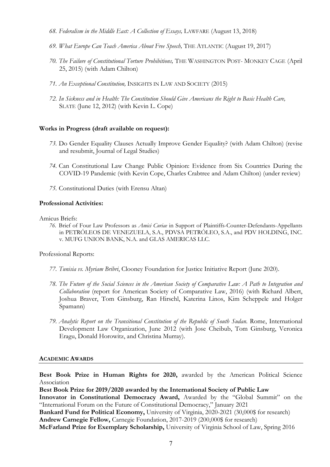- *68. Federalism in the Middle East: A Collection of Essays,* LAWFARE (August 13, 2018)
- *69. What Europe Can Teach America About Free Speech,* THE ATLANTIC (August 19, 2017)
- *70. The Failure of Constitutional Torture Prohibitions,* THE WASHINGTON POST- MONKEY CAGE (April 25, 2015) (with Adam Chilton)
- *71. An Exceptional Constitution,* INSIGHTS IN LAW AND SOCIETY (2015)
- *72. In Sickness and in Health: The Constitution Should Give Americans the Right to Basic Health Care,* SLATE (June 12, 2012) (with Kevin L. Cope)

## **Works in Progress (draft available on request):**

- *73.* Do Gender Equality Clauses Actually Improve Gender Equality? (with Adam Chilton) (revise and resubmit, Journal of Legal Studies)
- *74.* Can Constitutional Law Change Public Opinion: Evidence from Six Countries During the COVID-19 Pandemic (with Kevin Cope, Charles Crabtree and Adam Chilton) (under review)
- *75.* Constitutional Duties (with Erensu Altan)

## **Professional Activities:**

Amicus Briefs:

*76.* Brief of Four Law Professors as *Amici Curiae* in Support of Plaintiffs-Counter-Defendants-Appellants in PETRÓLEOS DE VENEZUELA, S.A., PDVSA PETRÓLEO, S.A., and PDV HOLDING, INC. v. MUFG UNION BANK, N.A. and GLAS AMERICAS LLC.

Professional Reports:

- *77. Tunisia vs. Myriam Bribri*, Clooney Foundation for Justice Initiative Report (June 2020).
- *78. The Future of the Social Sciences in the American Society of Comparative Law: A Path to Integration and Collaboration* (report for American Society of Comparative Law, 2016) (with Richard Albert, Joshua Braver, Tom Ginsburg, Ran Hirschl, Katerina Linos, Kim Scheppele and Holger Spamann)
- *79. Analytic Report on the Transitional Constitution of the Republic of South Sudan*. Rome, International Development Law Organization, June 2012 (with Jose Cheibub, Tom Ginsburg, Veronica Eragu, Donald Horowitz, and Christina Murray).

#### **ACADEMIC AWARDS**

**Best Book Prize in Human Rights for 2020,** awarded by the American Political Science Association

**Best Book Prize for 2019/2020 awarded by the International Society of Public Law**

**Innovator in Constitutional Democracy Award,** Awarded by the "Global Summit" on the "International Forum on the Future of Constitutional Democracy," January 2021

**Bankard Fund for Political Economy,** University of Virginia, 2020-2021 (30,000\$ for research) **Andrew Carnegie Fellow,** Carnegie Foundation, 2017-2019 (200,000\$ for research)

**McFarland Prize for Exemplary Scholarship,** University of Virginia School of Law, Spring 2016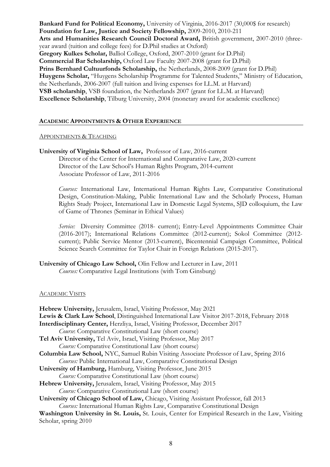**Bankard Fund for Political Economy,** University of Virginia, 2016-2017 (30,000\$ for research) **Foundation for Law, Justice and Society Fellowship,** 2009-2010, 2010-211 **Arts and Humanities Research Council Doctoral Award,** British government, 2007-2010 (threeyear award (tuition and college fees) for D.Phil studies at Oxford) **Gregory Kulkes Scholar,** Balliol College, Oxford, 2007-2010 (grant for D.Phil) **Commercial Bar Scholarship,** Oxford Law Faculty 2007-2008 (grant for D.Phil) **Prins Bernhard Cultuurfonds Scholarship,** the Netherlands, 2008-2009 (grant for D.Phil) **Huygens Scholar,** "Huygens Scholarship Programme for Talented Students," Ministry of Education, the Netherlands, 2006-2007 (full tuition and living expenses for LL.M. at Harvard) **VSB scholarship**, VSB foundation, the Netherlands 2007 (grant for LL.M. at Harvard) **Excellence Scholarship**, Tilburg University, 2004 (monetary award for academic excellence)

# **ACADEMIC APPOINTMENTS & OTHER EXPERIENCE**

## APPOINTMENTS & TEACHING

**University of Virginia School of Law,** Professor of Law, 2016-current Director of the Center for International and Comparative Law, 2020-current Director of the Law School's Human Rights Program, 2014-current Associate Professor of Law, 2011-2016

*Courses:* International Law, International Human Rights Law, Comparative Constitutional Design, Constitution-Making, Public International Law and the Scholarly Process, Human Rights Study Project, International Law in Domestic Legal Systems, SJD colloquium, the Law of Game of Thrones (Seminar in Ethical Values)

*Service:* Diversity Committee (2018- current); Entry-Level Appointments Committee Chair (2016-2017); International Relations Committee (2012-current); Sokol Committee (2012 current); Public Service Mentor (2013-current), Bicentennial Campaign Committee, Political Science Search Committee for Taylor Chair in Foreign Relations (2015-2017).

**University of Chicago Law School,** Olin Fellow and Lecturer in Law, 2011

*Courses:* Comparative Legal Institutions (with Tom Ginsburg)

# ACADEMIC VISITS

| Hebrew University, Jerusalem, Israel, Visiting Professor, May 2021                                    |
|-------------------------------------------------------------------------------------------------------|
| <b>Lewis &amp; Clark Law School, Distinguished International Law Visitor 2017-2018, February 2018</b> |
| Interdisciplinary Center, Herzliya, Israel, Visiting Professor, December 2017                         |
| Course: Comparative Constitutional Law (short course)                                                 |
| Tel Aviv University, Tel Aviv, Israel, Visiting Professor, May 2017                                   |
| Course: Comparative Constitutional Law (short course)                                                 |
| Columbia Law School, NYC, Samuel Rubin Visiting Associate Professor of Law, Spring 2016               |
| Courses: Public International Law, Comparative Constitutional Design                                  |
| University of Hamburg, Hamburg, Visiting Professor, June 2015                                         |
| <i>Course:</i> Comparative Constitutional Law (short course)                                          |
| Hebrew University, Jerusalem, Israel, Visiting Professor, May 2015                                    |
| <i>Course:</i> Comparative Constitutional Law (short course)                                          |
| University of Chicago School of Law, Chicago, Visiting Assistant Professor, fall 2013                 |
| Courses: International Human Rights Law, Comparative Constitutional Design                            |
| Washington University in St. Louis, St. Louis, Center for Empirical Research in the Law, Visiting     |
| Scholar, spring 2010                                                                                  |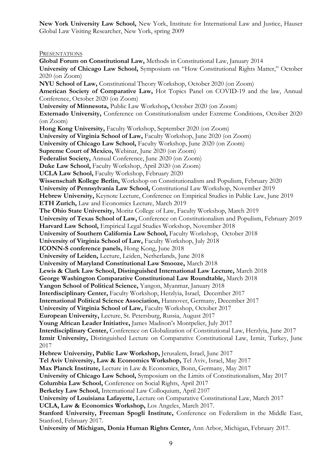**New York University Law School,** New York, Institute for International Law and Justice, Hauser Global Law Visiting Researcher, New York, spring 2009

**PRESENTATIONS** 

**Global Forum on Constitutional Law,** Methods in Constitutional Law, January 2014 **University of Chicago Law School,** Symposium on "How Constitutional Rights Matter," October 2020 (on Zoom) **NYU School of Law,** Constitutional Theory Workshop, October 2020 (on Zoom) **American Society of Comparative Law,** Hot Topics Panel on COVID-19 and the law, Annual Conference, October 2020 (on Zoom) **University of Minnesota,** Public Law Workshop**,** October 2020 (on Zoom) **Externado University,** Conference on Constitutionalism under Extreme Conditions, October 2020 (on Zoom) **Hong Kong University,** Faculty Workshop, September 2020 (on Zoom) **University of Virginia School of Law,** Faculty Workshop, June 2020 (on Zoom) **University of Chicago Law School,** Faculty Workshop, June 2020 (on Zoom) **Supreme Court of Mexico,** Webinar, June 2020 (on Zoom) **Federalist Society,** Annual Conference, June 2020 (on Zoom) **Duke Law School,** Faculty Workshop, April 2020 (on Zoom) **UCLA Law School,** Faculty Workshop, February 2020 **Wissenschaft Kollege Berlin,** Workshop on Constitutionalism and Populism, February 2020 **University of Pennsylvania Law School,** Constitutional Law Workshop, November 2019 **Hebrew University,** Keynote Lecture, Conference on Empirical Studies in Public Law, June 2019 **ETH Zurich,** Law and Economics Lecture, March 2019 **The Ohio State University,** Moritz College of Law, Faculty Workshop, March 2019 **University of Texas School of Law,** Conference on Constitutionalism and Populism, February 2019 **Harvard Law School,** Empirical Legal Studies Workshop, November 2018 **University of Southern California Law School,** Faculty Workshop, October 2018 **University of Virginia School of Law,** Faculty Workshop, July 2018 **ICONN-S conference panels,** Hong Kong, June 2018 **University of Leiden,** Lecture, Leiden, Netherlands, June 2018 **University of Maryland Constitutional Law Smooze,** March 2018 **Lewis & Clark Law School, Distinguished International Law Lecture,** March 2018 **George Washington Comparative Constitutional Law Roundtable,** March 2018 **Yangon School of Political Science,** Yangon, Myanmar, January 2018 **Interdisciplinary Center,** Faculty Workshop, Herzlyia, Israel, December 2017 **International Political Science Association,** Hannover, Germany, December 2017 **University of Virginia School of Law,** Faculty Workshop, October 2017 **European University,** Lecture, St. Petersburg, Russia, August 2017 **Young African Leader Initiative,** James Madison's Montpelier, July 2017 **Interdisciplinary Center,** Conference on Globalization of Constitutional Law, Herzlyia, June 2017 **Izmir University,** Distinguished Lecture on Comparative Constitutional Law, Izmir, Turkey, June 2017 **Hebrew University, Public Law Workshop,** Jerusalem, Israel, June 2017 **Tel Aviv University, Law & Economics Workshop,** Tel Aviv, Israel, May 2017 **Max Planck Institute,** Lecture in Law & Economics, Bonn, Germany, May 2017 **University of Chicago Law School,** Symposium on the Limits of Constitutionalism, May 2017 **Columbia Law School,** Conference on Social Rights, April 2017 **Berkeley Law School,** International Law Colloquium, April 2107 **University of Louisiana Lafayette,** Lecture on Comparative Constitutional Law, March 2017 **UCLA, Law & Economics Workshop,** Los Angeles, March 2017. Stanford University, Freeman Spogli Institute, Conference on Federalism in the Middle East, Stanford, February 2017. **University of Michigan, Donia Human Rights Center,** Ann Arbor, Michigan, February 2017.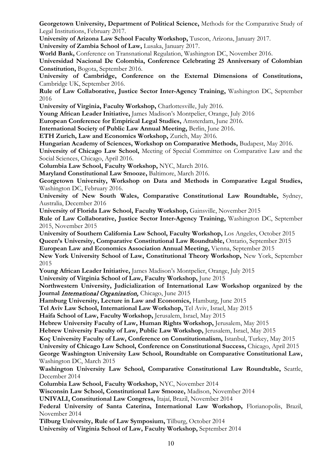**Georgetown University, Department of Political Science,** Methods for the Comparative Study of Legal Institutions, February 2017.

**University of Arizona Law School Faculty Workshop,** Tuscon, Arizona, January 2017.

**University of Zambia School of Law,** Lusaka, January 2017.

**World Bank,** Conference on Transnational Regulation, Washington DC, November 2016.

**Universidad Nacional De Colombia, Conference Celebrating 25 Anniversary of Colombian Constitution,** Bogota, September 2016.

**University of Cambridge, Conference on the External Dimensions of Constitutions,**  Cambridge UK, September 2016.

**Rule of Law Collaborative, Justice Sector Inter-Agency Training,** Washington DC, September 2016

**University of Virginia, Faculty Workshop,** Charlottesville, July 2016.

**Young African Leader Initiative,** James Madison's Montpelier, Orange, July 2016

**European Conference for Empirical Legal Studies,** Amsterdam, June 2016.

**International Society of Public Law Annual Meeting,** Berlin, June 2016.

**ETH Zurich, Law and Economics Workshop,** Zurich, May 2016.

**Hungarian Academy of Sciences, Workshop on Comparative Methods,** Budapest, May 2016.

**University of Chicago Law School,** Meeting of Special Committee on Comparative Law and the Social Sciences, Chicago, April 2016.

**Columbia Law School, Faculty Workshop,** NYC, March 2016.

**Maryland Constitutional Law Smooze,** Baltimore, March 2016.

**Georgetown University, Workshop on Data and Methods in Comparative Legal Studies,**  Washington DC, February 2016.

**University of New South Wales, Comparative Constitutional Law Roundtable,** Sydney, Australia, December 2016

**University of Florida Law School, Faculty Workshop,** Gainsville, November 2015

**Rule of Law Collaborative, Justice Sector Inter-Agency Training,** Washington DC, September 2015, November 2015

**University of Southern California Law School, Faculty Workshop,** Los Angeles, October 2015 **Queen's University, Comparative Constitutional Law Roundtable,** Ontario, September 2015

**European Law and Economics Association Annual Meeting,** Vienna, September 2015

**New York University School of Law, Constitutional Theory Workshop,** New York, September 2015

**Young African Leader Initiative,** James Madison's Montpelier, Orange, July 2015

**University of Virginia School of Law, Faculty Workshop,** June 2015

**Northwestern University, Judicialization of International Law Workshop organized by the**  Journal *International Organization*, Chicago, June 2015

**Hamburg University, Lecture in Law and Economics,** Hamburg, June 2015

**Tel Aviv Law School, International Law Workshop,** Tel Aviv, Israel, May 2015

**Haifa School of Law, Faculty Workshop,** Jerusalem, Israel, May 2015

**Hebrew University Faculty of Law, Human Rights Workshop,** Jerusalem, May 2015

**Hebrew University Faculty of Law, Public Law Workshop,** Jerusalem, Israel, May 2015

**Koç University Faculty of Law, Conference on Constitutionalism,** Istanbul, Turkey, May 2015

**University of Chicago Law School, Conference on Constitutional Success,** Chicago, April 2015 **George Washington University Law School, Roundtable on Comparative Constitutional Law,**  Washington DC, March 2015

**Washington University Law School, Comparative Constitutional Law Roundtable,** Seattle, December 2014

**Columbia Law School, Faculty Workshop,** NYC, November 2014

**Wisconsin Law School, Constitutional Law Smooze,** Madison, November 2014

**UNIVALI, Constitutional Law Congress,** Itajaí, Brazil, November 2014

**Federal University of Santa Caterina, International Law Workshop,** Florianopolis, Brazil, November 2014

**Tilburg University, Rule of Law Symposium,** Tilburg, October 2014

**University of Virginia School of Law, Faculty Workshop,** September 2014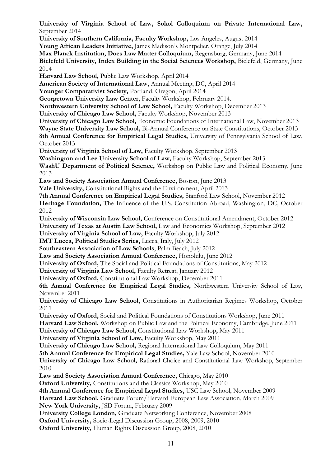**University of Virginia School of Law, Sokol Colloquium on Private International Law,** September 2014 **University of Southern California, Faculty Workshop,** Los Angeles, August 2014 **Young African Leaders Initiative,** James Madison's Montpelier, Orange, July 2014 **Max Planck Institution, Does Law Matter Colloquium,** Regensburg, Germany, June 2014

**Bielefeld University, Index Building in the Social Sciences Workshop,** Bielefeld, Germany, June 2014

**Harvard Law School,** Public Law Workshop, April 2014

**American Society of International Law,** Annual Meeting, DC, April 2014

**Younger Comparativist Society,** Portland, Oregon, April 2014

**Georgetown University Law Center,** Faculty Workshop, February 2014.

**Northwestern University School of Law School,** Faculty Workshop, December 2013

**University of Chicago Law School,** Faculty Workshop, November 2013

**University of Chicago Law School,** Economic Foundations of International Law, November 2013

**Wayne State University Law School,** Bi-Annual Conference on State Constitutions, October 2013

8th Annual Conference for Empirical Legal Studies, University of Pennsylvania School of Law, October 2013

**University of Virginia School of Law,** Faculty Workshop, September 2013

**Washington and Lee University School of Law,** Faculty Workshop, September 2013

**WashU Department of Political Science,** Workshop on Public Law and Political Economy, June 2013

**Law and Society Association Annual Conference,** Boston, June 2013

**Yale University,** Constitutional Rights and the Environment, April 2013

**7th Annual Conference on Empirical Legal Studies,** Stanford Law School, November 2012

**Heritage Foundation,** The Influence of the U.S. Constitution Abroad, Washington, DC, October 2012

**University of Wisconsin Law School,** Conference on Constitutional Amendment, October 2012 **University of Texas at Austin Law School,** Law and Economics Workshop, September 2012

**University of Virginia School of Law,** Faculty Workshop, July 2012

**IMT Lucca, Political Studies Series,** Lucca, Italy, July 2012

**Southeastern Association of Law Schools**, Palm Beach, July 2012

**Law and Society Association Annual Conference,** Honolulu, June 2012

**University of Oxford,** The Social and Political Foundations of Constitutions, May 2012

**University of Virginia Law School,** Faculty Retreat, January 2012

**University of Oxford,** Constitutional Law Workshop, December 2011

**6th Annual Conference for Empirical Legal Studies,** Northwestern University School of Law, November 2011

**University of Chicago Law School,** Constitutions in Authoritarian Regimes Workshop, October 2011

**University of Oxford,** Social and Political Foundations of Constitutions Workshop, June 2011

**Harvard Law School,** Workshop on Public Law and the Political Economy, Cambridge, June 2011

**University of Chicago Law School,** Constitutional Law Workshop**,** May 2011

**University of Virginia School of Law,** Faculty Workshop, May 2011

**University of Chicago Law School,** Regional International Law Colloquium, May 2011

**5th Annual Conference for Empirical Legal Studies,** Yale Law School, November 2010

**University of Chicago Law School,** Rational Choice and Constitutional Law Workshop, September 2010

**Law and Society Association Annual Conference,** Chicago, May 2010

**Oxford University,** Constitutions and the Classics Workshop, May 2010

**4th Annual Conference for Empirical Legal Studies,** USC Law School, November 2009

**Harvard Law School,** Graduate Forum/Harvard European Law Association, March 2009

**New York University,** JSD Forum, February 2009

**University College London,** Graduate Networking Conference, November 2008

**Oxford University,** Socio-Legal Discussion Group, 2008, 2009, 2010

**Oxford University,** Human Rights Discussion Group, 2008, 2010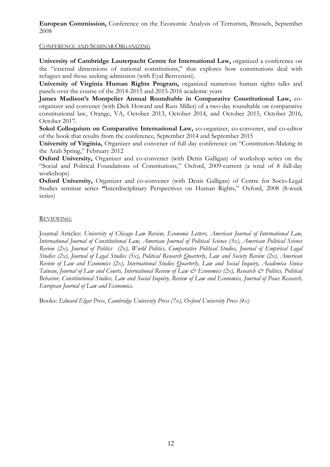**European Commission,** Conference on the Economic Analysis of Terrorism, Brussels, September 2008

## CONFERENCE AND SEMINAR ORGANIZING

**University of Cambridge Lauterpacht Centre for International Law,** organized a conference on the "external dimensions of national constitutions," that explores how constitutions deal with refugees and those seeking admission (with Eyal Benvenisti).

**University of Virginia Human Rights Program,** organized numerous human rights talks and panels over the course of the 2014-2015 and 2015-2016 academic years

**James Madison's Montpelier Annual Roundtable in Comparative Constitutional Law,** coorganizer and convener (with Dick Howard and Russ Miller) of a two-day roundtable on comparative constitutional law, Orange, VA, October 2013, October 2014, and October 2015, October 2016, October 2017.

**Sokol Colloquium on Comparative International Law,** co-organizer, co-convener, and co-editor of the book that results from the conference, September 2014 and September 2015

**University of Virginia,** Organizer and convener of full day conference on "Constitution-Making in the Arab Spring," February 2012

**Oxford University,** Organizer and co-convener (with Denis Galligan) of workshop series on the "Social and Political Foundations of Constitutions," Oxford, 2009-current (a total of 8 full-day workshops)

**Oxford University,** Organizer and co-convener (with Denis Galligan) of Centre for Socio-Legal Studies seminar series **"**Interdisciplinary Perspectives on Human Rights," Oxford, 2008 (8-week series)

# REVIEWING:

Journal Articles: *University of Chicago Law Review, Economic Letters, American Journal of International Law, International Journal of Constitutional Law, American Journal of Political Science (3x), American Political Science Review (2x), Journal of Politics (2x), World Politics, Comparative Political Studies, Journal of Empirical Legal Studies (2x)*, *Journal of Legal Studies (5x)*, *Political Research Quarterly*, *Law and Society Review (2x), American Review of Law and Economics (2x), International Studies Quarterly, Law and Social Inquiry, Academica Sinica Taiwan*, *Journal of Law and Courts, International Review of Law & Economics (2x), Research & Politics, Political Behavior, Constitutional Studies, Law and Social Inquiry, Review of Law and Economics, Journal of Peace Research, European Journal of Law and Economics.*

Books: *Edward Elgar Press*, *Cambridge University Press (7x), Oxford University Press (4x)*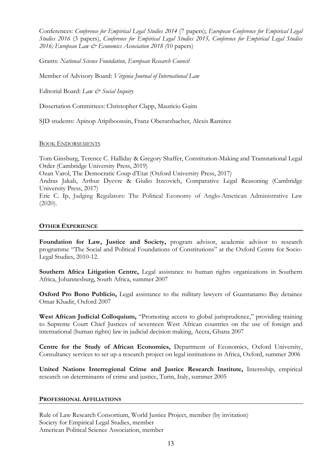Conferences: *Conference for Empirical Legal Studies 2014* (7 papers); *European Conference for Empirical Legal Studies 2016* (3 papers), *Conference for Empirical Legal Studies 2015, Conference for Empirical Legal Studies 2016; European Law & Economics Association 2018 (*10 papers)

Grants: *National Science Foundation, European Research Council*

Member of Advisory Board: *Virginia Journal of International Law*

Editorial Board: *Law & Social Inquiry*

Dissertation Committees: Christopher Clapp, Mauricio Guim

SJD students: Apinop Atipiboonsin, Franz Oberarzbacher, Alexis Ramirez

# BOOK ENDORSEMENTS

Tom Ginsburg, Terence C. Halliday & Gregory Shaffer, Constitution-Making and Transnational Legal Order (Cambridge University Press, 2019)

Ozan Varol, The Democratic Coup d'Etat (Oxford University Press, 2017)

Andras Jakab, Arthur Dyevre & Giulio Itzcovich, Comparative Legal Reasoning (Cambridge University Press, 2017)

Eric C. Ip, Judging Regulators: The Political Economy of Anglo-American Administrative Law  $(2020)$ .

# **OTHER EXPERIENCE**

**Foundation for Law, Justice and Society,** program advisor, academic advisor to research programme "The Social and Political Foundations of Constitutions" at the Oxford Centre for Socio-Legal Studies, 2010-12.

**Southern Africa Litigation Centre,** Legal assistance to human rights organizations in Southern Africa, Johannesburg, South Africa, summer 2007

**Oxford Pro Bono Publicio,** Legal assistance to the military lawyers of Guantanamo Bay detainee Omar Khadir, Oxford 2007

**West African Judicial Colloquium,** "Promoting access to global jurisprudence," providing training to Supreme Court Chief Justices of seventeen West African countries on the use of foreign and international (human rights) law in judicial decision making, Accra, Ghana 2007

**Centre for the Study of African Economies,** Department of Economics, Oxford University, Consultancy services to set up a research project on legal institutions in Africa, Oxford, summer 2006

**United Nations Interregional Crime and Justice Research Institute,** Internship, empirical research on determinants of crime and justice, Turin, Italy, summer 2005

# **PROFESSIONAL AFFILIATIONS**

Rule of Law Research Consortium, World Justice Project, member (by invitation) Society for Empirical Legal Studies, member American Political Science Association, member